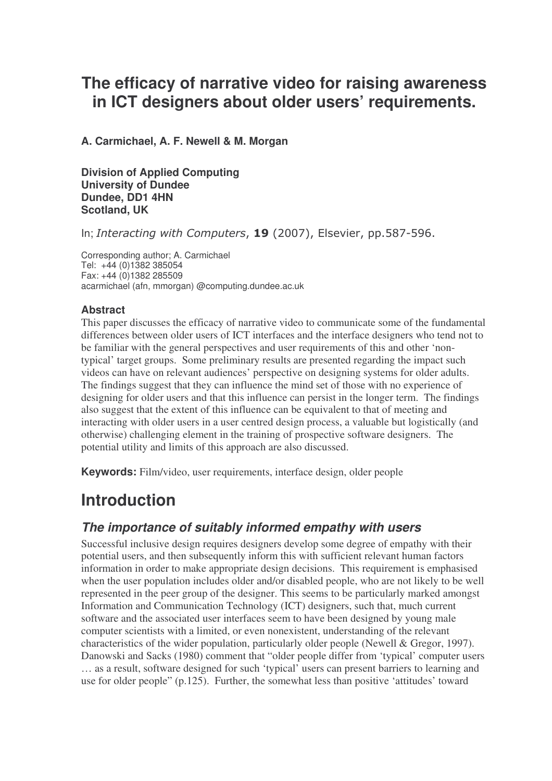# **The efficacy of narrative video for raising awareness in ICT designers about older users' requirements.**

**A. Carmichael, A. F. Newell & M. Morgan**

**Division of Applied Computing University of Dundee Dundee, DD1 4HN Scotland, UK**

In; Interacting with Computers, 19 (2007), Elsevier, pp.587-596.

Corresponding author; A. Carmichael Tel: +44 (0)1382 385054 Fax: +44 (0)1382 285509 acarmichael (afn, mmorgan) @computing.dundee.ac.uk

### **Abstract**

This paper discusses the efficacy of narrative video to communicate some of the fundamental differences between older users of ICT interfaces and the interface designers who tend not to be familiar with the general perspectives and user requirements of this and other 'nontypical' target groups. Some preliminary results are presented regarding the impact such videos can have on relevant audiences' perspective on designing systems for older adults. The findings suggest that they can influence the mind set of those with no experience of designing for older users and that this influence can persist in the longer term. The findings also suggest that the extent of this influence can be equivalent to that of meeting and interacting with older users in a user centred design process, a valuable but logistically (and otherwise) challenging element in the training of prospective software designers. The potential utility and limits of this approach are also discussed.

**Keywords:** Film/video, user requirements, interface design, older people

# **Introduction**

## *The importance of suitably informed empathy with users*

Successful inclusive design requires designers develop some degree of empathy with their potential users, and then subsequently inform this with sufficient relevant human factors information in order to make appropriate design decisions. This requirement is emphasised when the user population includes older and/or disabled people, who are not likely to be well represented in the peer group of the designer. This seems to be particularly marked amongst Information and Communication Technology (ICT) designers, such that, much current software and the associated user interfaces seem to have been designed by young male computer scientists with a limited, or even nonexistent, understanding of the relevant characteristics of the wider population, particularly older people (Newell & Gregor, 1997). Danowski and Sacks (1980) comment that "older people differ from 'typical' computer users … as a result, software designed for such 'typical' users can present barriers to learning and use for older people" (p.125). Further, the somewhat less than positive 'attitudes' toward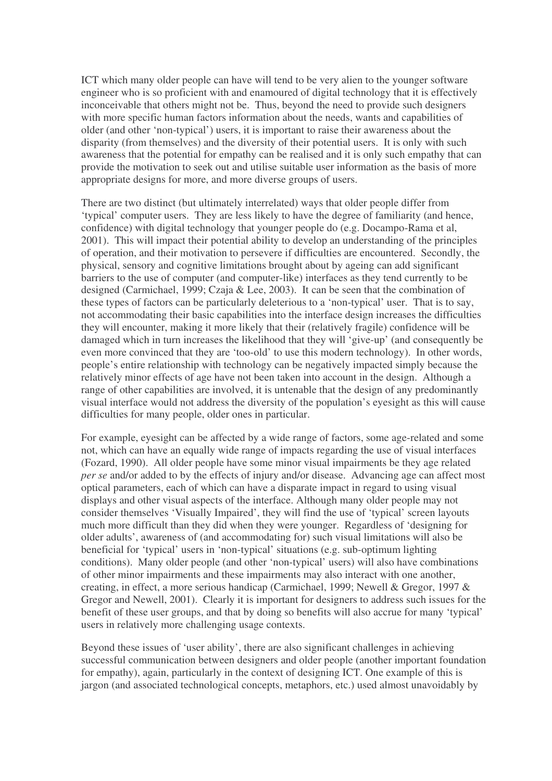ICT which many older people can have will tend to be very alien to the younger software engineer who is so proficient with and enamoured of digital technology that it is effectively inconceivable that others might not be. Thus, beyond the need to provide such designers with more specific human factors information about the needs, wants and capabilities of older (and other 'non-typical') users, it is important to raise their awareness about the disparity (from themselves) and the diversity of their potential users. It is only with such awareness that the potential for empathy can be realised and it is only such empathy that can provide the motivation to seek out and utilise suitable user information as the basis of more appropriate designs for more, and more diverse groups of users.

There are two distinct (but ultimately interrelated) ways that older people differ from 'typical' computer users. They are less likely to have the degree of familiarity (and hence, confidence) with digital technology that younger people do (e.g. Docampo-Rama et al, 2001). This will impact their potential ability to develop an understanding of the principles of operation, and their motivation to persevere if difficulties are encountered. Secondly, the physical, sensory and cognitive limitations brought about by ageing can add significant barriers to the use of computer (and computer-like) interfaces as they tend currently to be designed (Carmichael, 1999; Czaja & Lee, 2003). It can be seen that the combination of these types of factors can be particularly deleterious to a 'non-typical' user. That is to say, not accommodating their basic capabilities into the interface design increases the difficulties they will encounter, making it more likely that their (relatively fragile) confidence will be damaged which in turn increases the likelihood that they will 'give-up' (and consequently be even more convinced that they are 'too-old' to use this modern technology). In other words, people's entire relationship with technology can be negatively impacted simply because the relatively minor effects of age have not been taken into account in the design. Although a range of other capabilities are involved, it is untenable that the design of any predominantly visual interface would not address the diversity of the population's eyesight as this will cause difficulties for many people, older ones in particular.

For example, eyesight can be affected by a wide range of factors, some age-related and some not, which can have an equally wide range of impacts regarding the use of visual interfaces (Fozard, 1990). All older people have some minor visual impairments be they age related *per se* and/or added to by the effects of injury and/or disease. Advancing age can affect most optical parameters, each of which can have a disparate impact in regard to using visual displays and other visual aspects of the interface. Although many older people may not consider themselves 'Visually Impaired', they will find the use of 'typical' screen layouts much more difficult than they did when they were younger. Regardless of 'designing for older adults', awareness of (and accommodating for) such visual limitations will also be beneficial for 'typical' users in 'non-typical' situations (e.g. sub-optimum lighting conditions). Many older people (and other 'non-typical' users) will also have combinations of other minor impairments and these impairments may also interact with one another, creating, in effect, a more serious handicap (Carmichael, 1999; Newell & Gregor, 1997 & Gregor and Newell, 2001). Clearly it is important for designers to address such issues for the benefit of these user groups, and that by doing so benefits will also accrue for many 'typical' users in relatively more challenging usage contexts.

Beyond these issues of 'user ability', there are also significant challenges in achieving successful communication between designers and older people (another important foundation for empathy), again, particularly in the context of designing ICT. One example of this is jargon (and associated technological concepts, metaphors, etc.) used almost unavoidably by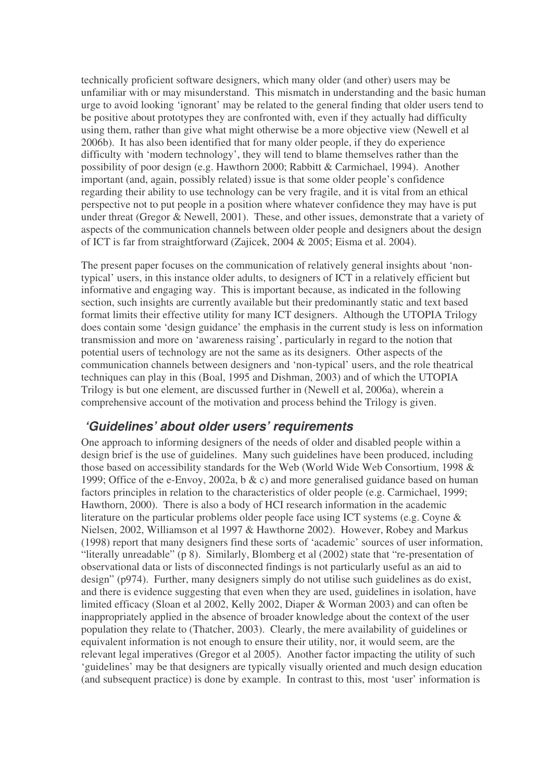technically proficient software designers, which many older (and other) users may be unfamiliar with or may misunderstand. This mismatch in understanding and the basic human urge to avoid looking 'ignorant' may be related to the general finding that older users tend to be positive about prototypes they are confronted with, even if they actually had difficulty using them, rather than give what might otherwise be a more objective view (Newell et al 2006b). It has also been identified that for many older people, if they do experience difficulty with 'modern technology', they will tend to blame themselves rather than the possibility of poor design (e.g. Hawthorn 2000; Rabbitt & Carmichael, 1994). Another important (and, again, possibly related) issue is that some older people's confidence regarding their ability to use technology can be very fragile, and it is vital from an ethical perspective not to put people in a position where whatever confidence they may have is put under threat (Gregor & Newell, 2001). These, and other issues, demonstrate that a variety of aspects of the communication channels between older people and designers about the design of ICT is far from straightforward (Zajicek, 2004 & 2005; Eisma et al. 2004).

The present paper focuses on the communication of relatively general insights about 'nontypical' users, in this instance older adults, to designers of ICT in a relatively efficient but informative and engaging way. This is important because, as indicated in the following section, such insights are currently available but their predominantly static and text based format limits their effective utility for many ICT designers. Although the UTOPIA Trilogy does contain some 'design guidance' the emphasis in the current study is less on information transmission and more on 'awareness raising', particularly in regard to the notion that potential users of technology are not the same as its designers. Other aspects of the communication channels between designers and 'non-typical' users, and the role theatrical techniques can play in this (Boal, 1995 and Dishman, 2003) and of which the UTOPIA Trilogy is but one element, are discussed further in (Newell et al, 2006a), wherein a comprehensive account of the motivation and process behind the Trilogy is given.

## *'Guidelines' about older users' requirements*

One approach to informing designers of the needs of older and disabled people within a design brief is the use of guidelines. Many such guidelines have been produced, including those based on accessibility standards for the Web (World Wide Web Consortium, 1998 & 1999; Office of the e-Envoy, 2002a, b & c) and more generalised guidance based on human factors principles in relation to the characteristics of older people (e.g. Carmichael, 1999; Hawthorn, 2000). There is also a body of HCI research information in the academic literature on the particular problems older people face using ICT systems (e.g. Coyne & Nielsen, 2002, Williamson et al 1997 & Hawthorne 2002). However, Robey and Markus (1998) report that many designers find these sorts of 'academic' sources of user information, "literally unreadable" (p 8). Similarly, Blomberg et al (2002) state that "re-presentation of observational data or lists of disconnected findings is not particularly useful as an aid to design" (p974). Further, many designers simply do not utilise such guidelines as do exist, and there is evidence suggesting that even when they are used, guidelines in isolation, have limited efficacy (Sloan et al 2002, Kelly 2002, Diaper & Worman 2003) and can often be inappropriately applied in the absence of broader knowledge about the context of the user population they relate to (Thatcher, 2003). Clearly, the mere availability of guidelines or equivalent information is not enough to ensure their utility, nor, it would seem, are the relevant legal imperatives (Gregor et al 2005). Another factor impacting the utility of such 'guidelines' may be that designers are typically visually oriented and much design education (and subsequent practice) is done by example. In contrast to this, most 'user' information is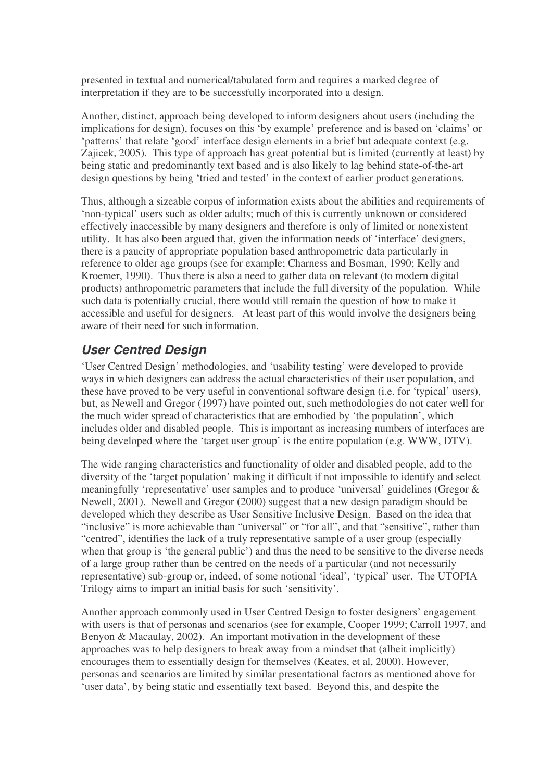presented in textual and numerical/tabulated form and requires a marked degree of interpretation if they are to be successfully incorporated into a design.

Another, distinct, approach being developed to inform designers about users (including the implications for design), focuses on this 'by example' preference and is based on 'claims' or 'patterns' that relate 'good' interface design elements in a brief but adequate context (e.g. Zajicek, 2005). This type of approach has great potential but is limited (currently at least) by being static and predominantly text based and is also likely to lag behind state-of-the-art design questions by being 'tried and tested' in the context of earlier product generations.

Thus, although a sizeable corpus of information exists about the abilities and requirements of 'non-typical' users such as older adults; much of this is currently unknown or considered effectively inaccessible by many designers and therefore is only of limited or nonexistent utility. It has also been argued that, given the information needs of 'interface' designers, there is a paucity of appropriate population based anthropometric data particularly in reference to older age groups (see for example; Charness and Bosman, 1990; Kelly and Kroemer, 1990). Thus there is also a need to gather data on relevant (to modern digital products) anthropometric parameters that include the full diversity of the population. While such data is potentially crucial, there would still remain the question of how to make it accessible and useful for designers. At least part of this would involve the designers being aware of their need for such information.

## *User Centred Design*

'User Centred Design' methodologies, and 'usability testing' were developed to provide ways in which designers can address the actual characteristics of their user population, and these have proved to be very useful in conventional software design (i.e. for 'typical' users), but, as Newell and Gregor (1997) have pointed out, such methodologies do not cater well for the much wider spread of characteristics that are embodied by 'the population', which includes older and disabled people. This is important as increasing numbers of interfaces are being developed where the 'target user group' is the entire population (e.g. WWW, DTV).

The wide ranging characteristics and functionality of older and disabled people, add to the diversity of the 'target population' making it difficult if not impossible to identify and select meaningfully 'representative' user samples and to produce 'universal' guidelines (Gregor & Newell, 2001). Newell and Gregor (2000) suggest that a new design paradigm should be developed which they describe as User Sensitive Inclusive Design. Based on the idea that "inclusive" is more achievable than "universal" or "for all", and that "sensitive", rather than "centred", identifies the lack of a truly representative sample of a user group (especially when that group is 'the general public') and thus the need to be sensitive to the diverse needs of a large group rather than be centred on the needs of a particular (and not necessarily representative) sub-group or, indeed, of some notional 'ideal', 'typical' user. The UTOPIA Trilogy aims to impart an initial basis for such 'sensitivity'.

Another approach commonly used in User Centred Design to foster designers' engagement with users is that of personas and scenarios (see for example, Cooper 1999; Carroll 1997, and Benyon & Macaulay, 2002). An important motivation in the development of these approaches was to help designers to break away from a mindset that (albeit implicitly) encourages them to essentially design for themselves (Keates, et al, 2000). However, personas and scenarios are limited by similar presentational factors as mentioned above for 'user data', by being static and essentially text based. Beyond this, and despite the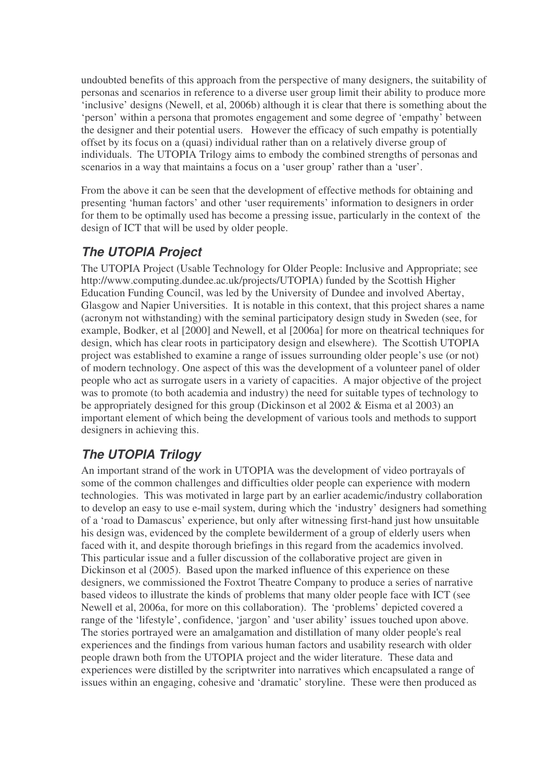undoubted benefits of this approach from the perspective of many designers, the suitability of personas and scenarios in reference to a diverse user group limit their ability to produce more 'inclusive' designs (Newell, et al, 2006b) although it is clear that there is something about the 'person' within a persona that promotes engagement and some degree of 'empathy' between the designer and their potential users. However the efficacy of such empathy is potentially offset by its focus on a (quasi) individual rather than on a relatively diverse group of individuals. The UTOPIA Trilogy aims to embody the combined strengths of personas and scenarios in a way that maintains a focus on a 'user group' rather than a 'user'.

From the above it can be seen that the development of effective methods for obtaining and presenting 'human factors' and other 'user requirements' information to designers in order for them to be optimally used has become a pressing issue, particularly in the context of the design of ICT that will be used by older people.

## *The UTOPIA Project*

The UTOPIA Project (Usable Technology for Older People: Inclusive and Appropriate; see http://www.computing.dundee.ac.uk/projects/UTOPIA) funded by the Scottish Higher Education Funding Council, was led by the University of Dundee and involved Abertay, Glasgow and Napier Universities. It is notable in this context, that this project shares a name (acronym not withstanding) with the seminal participatory design study in Sweden (see, for example, Bodker, et al [2000] and Newell, et al [2006a] for more on theatrical techniques for design, which has clear roots in participatory design and elsewhere). The Scottish UTOPIA project was established to examine a range of issues surrounding older people's use (or not) of modern technology. One aspect of this was the development of a volunteer panel of older people who act as surrogate users in a variety of capacities. A major objective of the project was to promote (to both academia and industry) the need for suitable types of technology to be appropriately designed for this group (Dickinson et al 2002 & Eisma et al 2003) an important element of which being the development of various tools and methods to support designers in achieving this.

## *The UTOPIA Trilogy*

An important strand of the work in UTOPIA was the development of video portrayals of some of the common challenges and difficulties older people can experience with modern technologies. This was motivated in large part by an earlier academic/industry collaboration to develop an easy to use e-mail system, during which the 'industry' designers had something of a 'road to Damascus' experience, but only after witnessing first-hand just how unsuitable his design was, evidenced by the complete bewilderment of a group of elderly users when faced with it, and despite thorough briefings in this regard from the academics involved. This particular issue and a fuller discussion of the collaborative project are given in Dickinson et al (2005). Based upon the marked influence of this experience on these designers, we commissioned the Foxtrot Theatre Company to produce a series of narrative based videos to illustrate the kinds of problems that many older people face with ICT (see Newell et al, 2006a, for more on this collaboration). The 'problems' depicted covered a range of the 'lifestyle', confidence, 'jargon' and 'user ability' issues touched upon above. The stories portrayed were an amalgamation and distillation of many older people's real experiences and the findings from various human factors and usability research with older people drawn both from the UTOPIA project and the wider literature. These data and experiences were distilled by the scriptwriter into narratives which encapsulated a range of issues within an engaging, cohesive and 'dramatic' storyline. These were then produced as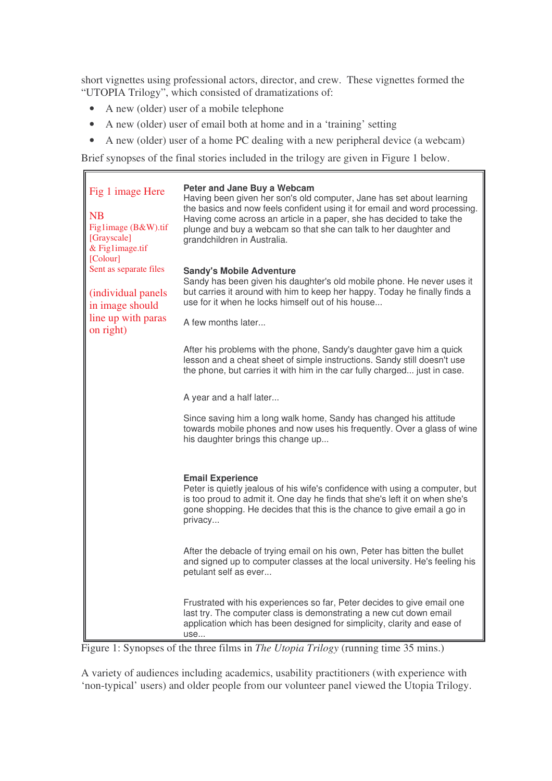short vignettes using professional actors, director, and crew. These vignettes formed the "UTOPIA Trilogy", which consisted of dramatizations of:

• A new (older) user of a mobile telephone

匠

- A new (older) user of email both at home and in a 'training' setting
- A new (older) user of a home PC dealing with a new peripheral device (a webcam)

Brief synopses of the final stories included in the trilogy are given in Figure 1 below.

| Fig 1 image Here<br><b>NB</b><br>Fig1image (B&W).tif<br>[Grayscale]<br>& Fig1image.tif<br>[Colour]<br>Sent as separate files<br>(individual panels)<br>in image should<br>line up with paras<br>on right) | Peter and Jane Buy a Webcam<br>Having been given her son's old computer, Jane has set about learning<br>the basics and now feels confident using it for email and word processing.<br>Having come across an article in a paper, she has decided to take the<br>plunge and buy a webcam so that she can talk to her daughter and<br>grandchildren in Australia. |  |  |
|-----------------------------------------------------------------------------------------------------------------------------------------------------------------------------------------------------------|----------------------------------------------------------------------------------------------------------------------------------------------------------------------------------------------------------------------------------------------------------------------------------------------------------------------------------------------------------------|--|--|
|                                                                                                                                                                                                           | <b>Sandy's Mobile Adventure</b><br>Sandy has been given his daughter's old mobile phone. He never uses it<br>but carries it around with him to keep her happy. Today he finally finds a<br>use for it when he locks himself out of his house                                                                                                                   |  |  |
|                                                                                                                                                                                                           | A few months later                                                                                                                                                                                                                                                                                                                                             |  |  |
|                                                                                                                                                                                                           | After his problems with the phone, Sandy's daughter gave him a quick<br>lesson and a cheat sheet of simple instructions. Sandy still doesn't use<br>the phone, but carries it with him in the car fully charged just in case.                                                                                                                                  |  |  |
|                                                                                                                                                                                                           | A year and a half later                                                                                                                                                                                                                                                                                                                                        |  |  |
|                                                                                                                                                                                                           | Since saving him a long walk home, Sandy has changed his attitude<br>towards mobile phones and now uses his frequently. Over a glass of wine<br>his daughter brings this change up                                                                                                                                                                             |  |  |
|                                                                                                                                                                                                           | <b>Email Experience</b><br>Peter is quietly jealous of his wife's confidence with using a computer, but<br>is too proud to admit it. One day he finds that she's left it on when she's<br>gone shopping. He decides that this is the chance to give email a go in<br>privacy                                                                                   |  |  |
|                                                                                                                                                                                                           | After the debacle of trying email on his own, Peter has bitten the bullet<br>and signed up to computer classes at the local university. He's feeling his<br>petulant self as ever                                                                                                                                                                              |  |  |
|                                                                                                                                                                                                           | Frustrated with his experiences so far, Peter decides to give email one<br>last try. The computer class is demonstrating a new cut down email<br>application which has been designed for simplicity, clarity and ease of<br>use                                                                                                                                |  |  |

Figure 1: Synopses of the three films in *The Utopia Trilogy* (running time 35 mins.)

A variety of audiences including academics, usability practitioners (with experience with 'non-typical' users) and older people from our volunteer panel viewed the Utopia Trilogy.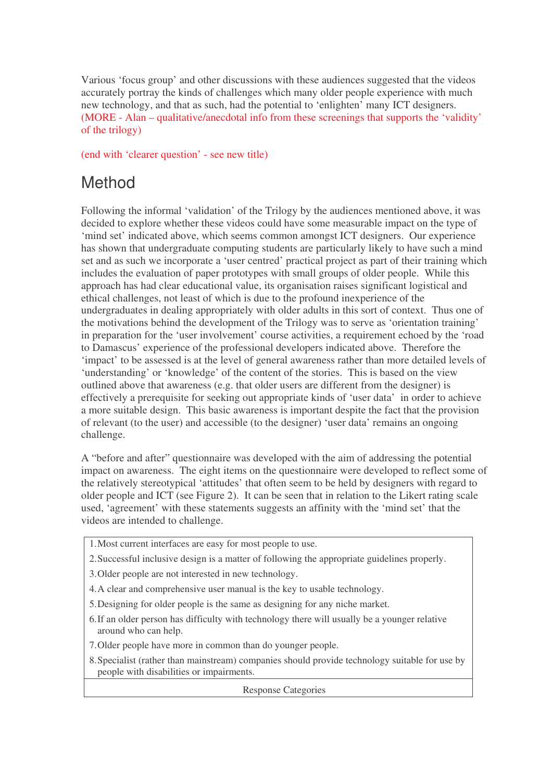Various 'focus group' and other discussions with these audiences suggested that the videos accurately portray the kinds of challenges which many older people experience with much new technology, and that as such, had the potential to 'enlighten' many ICT designers. (MORE - Alan – qualitative/anecdotal info from these screenings that supports the 'validity' of the trilogy)

(end with 'clearer question' - see new title)

# Method

Following the informal 'validation' of the Trilogy by the audiences mentioned above, it was decided to explore whether these videos could have some measurable impact on the type of 'mind set' indicated above, which seems common amongst ICT designers. Our experience has shown that undergraduate computing students are particularly likely to have such a mind set and as such we incorporate a 'user centred' practical project as part of their training which includes the evaluation of paper prototypes with small groups of older people. While this approach has had clear educational value, its organisation raises significant logistical and ethical challenges, not least of which is due to the profound inexperience of the undergraduates in dealing appropriately with older adults in this sort of context. Thus one of the motivations behind the development of the Trilogy was to serve as 'orientation training' in preparation for the 'user involvement' course activities, a requirement echoed by the 'road to Damascus' experience of the professional developers indicated above. Therefore the 'impact' to be assessed is at the level of general awareness rather than more detailed levels of 'understanding' or 'knowledge' of the content of the stories. This is based on the view outlined above that awareness (e.g. that older users are different from the designer) is effectively a prerequisite for seeking out appropriate kinds of 'user data' in order to achieve a more suitable design. This basic awareness is important despite the fact that the provision of relevant (to the user) and accessible (to the designer) 'user data' remains an ongoing challenge.

A "before and after" questionnaire was developed with the aim of addressing the potential impact on awareness. The eight items on the questionnaire were developed to reflect some of the relatively stereotypical 'attitudes' that often seem to be held by designers with regard to older people and ICT (see Figure 2). It can be seen that in relation to the Likert rating scale used, 'agreement' with these statements suggests an affinity with the 'mind set' that the videos are intended to challenge.

- 1.Most current interfaces are easy for most people to use.
- 2.Successful inclusive design is a matter of following the appropriate guidelines properly.
- 3.Older people are not interested in new technology.
- 4.A clear and comprehensive user manual is the key to usable technology.
- 5.Designing for older people is the same as designing for any niche market.
- 6.If an older person has difficulty with technology there will usually be a younger relative around who can help.
- 7.Older people have more in common than do younger people.
- 8.Specialist (rather than mainstream) companies should provide technology suitable for use by people with disabilities or impairments.

#### Response Categories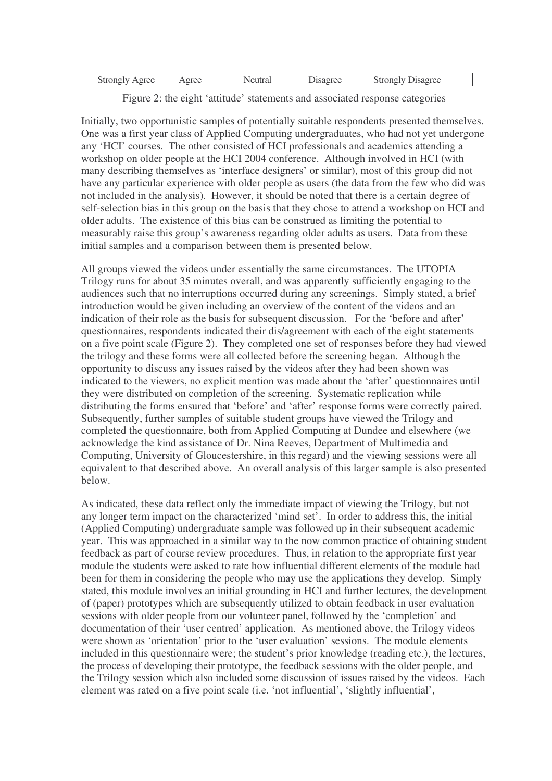| Strongly Agree | Agree | Neutral | Disagree | <b>Strongly Disagree</b> |
|----------------|-------|---------|----------|--------------------------|
|----------------|-------|---------|----------|--------------------------|

Figure 2: the eight 'attitude' statements and associated response categories

Initially, two opportunistic samples of potentially suitable respondents presented themselves. One was a first year class of Applied Computing undergraduates, who had not yet undergone any 'HCI' courses. The other consisted of HCI professionals and academics attending a workshop on older people at the HCI 2004 conference. Although involved in HCI (with many describing themselves as 'interface designers' or similar), most of this group did not have any particular experience with older people as users (the data from the few who did was not included in the analysis). However, it should be noted that there is a certain degree of self-selection bias in this group on the basis that they chose to attend a workshop on HCI and older adults. The existence of this bias can be construed as limiting the potential to measurably raise this group's awareness regarding older adults as users. Data from these initial samples and a comparison between them is presented below.

All groups viewed the videos under essentially the same circumstances. The UTOPIA Trilogy runs for about 35 minutes overall, and was apparently sufficiently engaging to the audiences such that no interruptions occurred during any screenings. Simply stated, a brief introduction would be given including an overview of the content of the videos and an indication of their role as the basis for subsequent discussion. For the 'before and after' questionnaires, respondents indicated their dis/agreement with each of the eight statements on a five point scale (Figure 2). They completed one set of responses before they had viewed the trilogy and these forms were all collected before the screening began. Although the opportunity to discuss any issues raised by the videos after they had been shown was indicated to the viewers, no explicit mention was made about the 'after' questionnaires until they were distributed on completion of the screening. Systematic replication while distributing the forms ensured that 'before' and 'after' response forms were correctly paired. Subsequently, further samples of suitable student groups have viewed the Trilogy and completed the questionnaire, both from Applied Computing at Dundee and elsewhere (we acknowledge the kind assistance of Dr. Nina Reeves, Department of Multimedia and Computing, University of Gloucestershire, in this regard) and the viewing sessions were all equivalent to that described above. An overall analysis of this larger sample is also presented below.

As indicated, these data reflect only the immediate impact of viewing the Trilogy, but not any longer term impact on the characterized 'mind set'. In order to address this, the initial (Applied Computing) undergraduate sample was followed up in their subsequent academic year. This was approached in a similar way to the now common practice of obtaining student feedback as part of course review procedures. Thus, in relation to the appropriate first year module the students were asked to rate how influential different elements of the module had been for them in considering the people who may use the applications they develop. Simply stated, this module involves an initial grounding in HCI and further lectures, the development of (paper) prototypes which are subsequently utilized to obtain feedback in user evaluation sessions with older people from our volunteer panel, followed by the 'completion' and documentation of their 'user centred' application. As mentioned above, the Trilogy videos were shown as 'orientation' prior to the 'user evaluation' sessions. The module elements included in this questionnaire were; the student's prior knowledge (reading etc.), the lectures, the process of developing their prototype, the feedback sessions with the older people, and the Trilogy session which also included some discussion of issues raised by the videos. Each element was rated on a five point scale (i.e. 'not influential', 'slightly influential',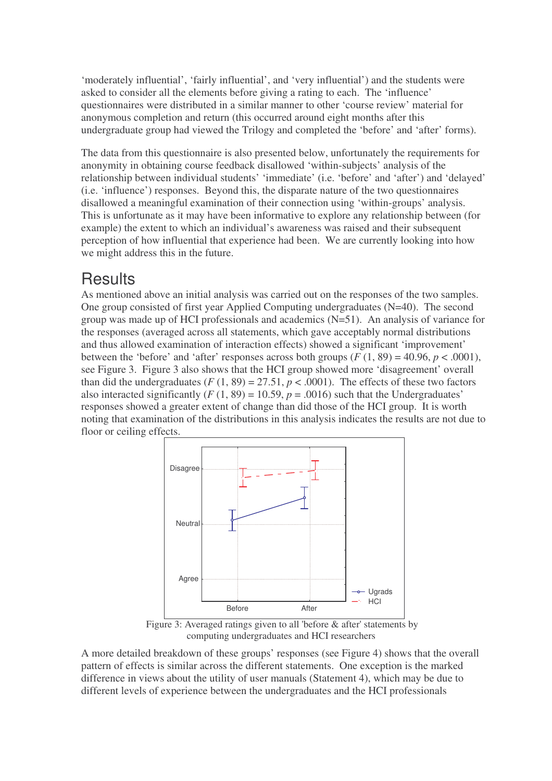'moderately influential', 'fairly influential', and 'very influential') and the students were asked to consider all the elements before giving a rating to each. The 'influence' questionnaires were distributed in a similar manner to other 'course review' material for anonymous completion and return (this occurred around eight months after this undergraduate group had viewed the Trilogy and completed the 'before' and 'after' forms).

The data from this questionnaire is also presented below, unfortunately the requirements for anonymity in obtaining course feedback disallowed 'within-subjects' analysis of the relationship between individual students' 'immediate' (i.e. 'before' and 'after') and 'delayed' (i.e. 'influence') responses. Beyond this, the disparate nature of the two questionnaires disallowed a meaningful examination of their connection using 'within-groups' analysis. This is unfortunate as it may have been informative to explore any relationship between (for example) the extent to which an individual's awareness was raised and their subsequent perception of how influential that experience had been. We are currently looking into how we might address this in the future.

# **Results**

As mentioned above an initial analysis was carried out on the responses of the two samples. One group consisted of first year Applied Computing undergraduates (N=40). The second group was made up of HCI professionals and academics (N=51). An analysis of variance for the responses (averaged across all statements, which gave acceptably normal distributions and thus allowed examination of interaction effects) showed a significant 'improvement' between the 'before' and 'after' responses across both groups  $(F(1, 89) = 40.96, p < .0001)$ , see Figure 3. Figure 3 also shows that the HCI group showed more 'disagreement' overall than did the undergraduates  $(F(1, 89) = 27.51, p < .0001)$ . The effects of these two factors also interacted significantly  $(F(1, 89) = 10.59, p = .0016)$  such that the Undergraduates' responses showed a greater extent of change than did those of the HCI group. It is worth noting that examination of the distributions in this analysis indicates the results are not due to floor or ceiling effects.



Figure 3: Averaged ratings given to all 'before & after' statements by computing undergraduates and HCI researchers

A more detailed breakdown of these groups' responses (see Figure 4) shows that the overall pattern of effects is similar across the different statements. One exception is the marked difference in views about the utility of user manuals (Statement 4), which may be due to different levels of experience between the undergraduates and the HCI professionals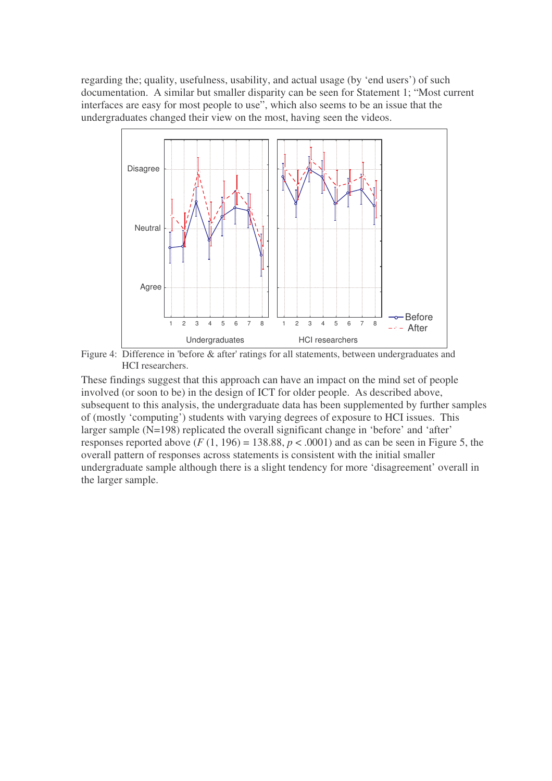regarding the; quality, usefulness, usability, and actual usage (by 'end users') of such documentation. A similar but smaller disparity can be seen for Statement 1; "Most current interfaces are easy for most people to use", which also seems to be an issue that the undergraduates changed their view on the most, having seen the videos.



Figure 4: Difference in 'before & after' ratings for all statements, between undergraduates and HCI researchers.

These findings suggest that this approach can have an impact on the mind set of people involved (or soon to be) in the design of ICT for older people. As described above, subsequent to this analysis, the undergraduate data has been supplemented by further samples of (mostly 'computing') students with varying degrees of exposure to HCI issues. This larger sample (N=198) replicated the overall significant change in 'before' and 'after' responses reported above  $(F(1, 196) = 138.88, p < .0001)$  and as can be seen in Figure 5, the overall pattern of responses across statements is consistent with the initial smaller undergraduate sample although there is a slight tendency for more 'disagreement' overall in the larger sample.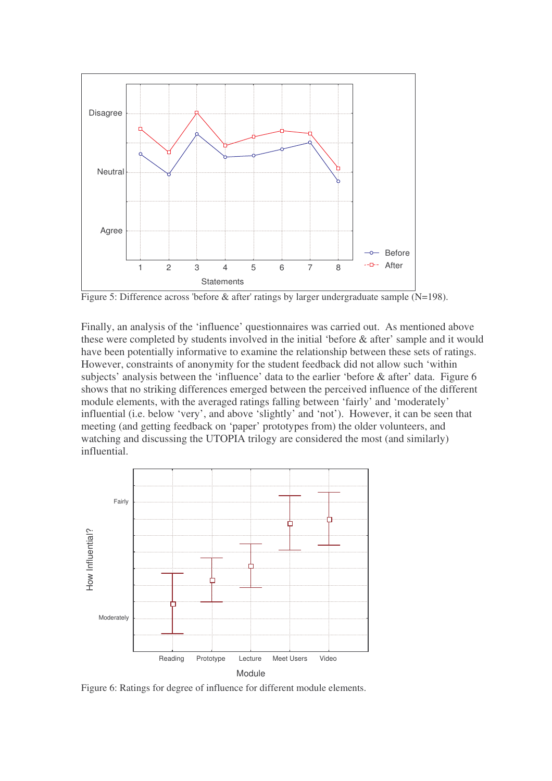

Figure 5: Difference across 'before  $\&$  after' ratings by larger undergraduate sample (N=198).

Finally, an analysis of the 'influence' questionnaires was carried out. As mentioned above these were completed by students involved in the initial 'before & after' sample and it would have been potentially informative to examine the relationship between these sets of ratings. However, constraints of anonymity for the student feedback did not allow such 'within subjects' analysis between the 'influence' data to the earlier 'before & after' data. Figure 6 shows that no striking differences emerged between the perceived influence of the different module elements, with the averaged ratings falling between 'fairly' and 'moderately' influential (i.e. below 'very', and above 'slightly' and 'not'). However, it can be seen that meeting (and getting feedback on 'paper' prototypes from) the older volunteers, and watching and discussing the UTOPIA trilogy are considered the most (and similarly) influential.



Figure 6: Ratings for degree of influence for different module elements.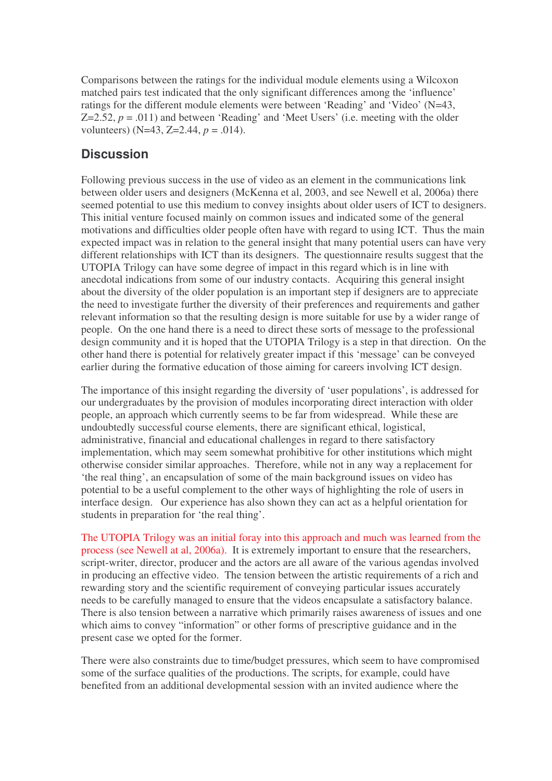Comparisons between the ratings for the individual module elements using a Wilcoxon matched pairs test indicated that the only significant differences among the 'influence' ratings for the different module elements were between 'Reading' and 'Video' (N=43,  $Z=2.52$ ,  $p = .011$ ) and between 'Reading' and 'Meet Users' (i.e. meeting with the older volunteers) (N=43, Z=2.44, *p* = .014).

## **Discussion**

Following previous success in the use of video as an element in the communications link between older users and designers (McKenna et al, 2003, and see Newell et al, 2006a) there seemed potential to use this medium to convey insights about older users of ICT to designers. This initial venture focused mainly on common issues and indicated some of the general motivations and difficulties older people often have with regard to using ICT. Thus the main expected impact was in relation to the general insight that many potential users can have very different relationships with ICT than its designers. The questionnaire results suggest that the UTOPIA Trilogy can have some degree of impact in this regard which is in line with anecdotal indications from some of our industry contacts. Acquiring this general insight about the diversity of the older population is an important step if designers are to appreciate the need to investigate further the diversity of their preferences and requirements and gather relevant information so that the resulting design is more suitable for use by a wider range of people. On the one hand there is a need to direct these sorts of message to the professional design community and it is hoped that the UTOPIA Trilogy is a step in that direction. On the other hand there is potential for relatively greater impact if this 'message' can be conveyed earlier during the formative education of those aiming for careers involving ICT design.

The importance of this insight regarding the diversity of 'user populations', is addressed for our undergraduates by the provision of modules incorporating direct interaction with older people, an approach which currently seems to be far from widespread. While these are undoubtedly successful course elements, there are significant ethical, logistical, administrative, financial and educational challenges in regard to there satisfactory implementation, which may seem somewhat prohibitive for other institutions which might otherwise consider similar approaches. Therefore, while not in any way a replacement for 'the real thing', an encapsulation of some of the main background issues on video has potential to be a useful complement to the other ways of highlighting the role of users in interface design. Our experience has also shown they can act as a helpful orientation for students in preparation for 'the real thing'.

The UTOPIA Trilogy was an initial foray into this approach and much was learned from the process (see Newell at al, 2006a). It is extremely important to ensure that the researchers, script-writer, director, producer and the actors are all aware of the various agendas involved in producing an effective video. The tension between the artistic requirements of a rich and rewarding story and the scientific requirement of conveying particular issues accurately needs to be carefully managed to ensure that the videos encapsulate a satisfactory balance. There is also tension between a narrative which primarily raises awareness of issues and one which aims to convey "information" or other forms of prescriptive guidance and in the present case we opted for the former.

There were also constraints due to time/budget pressures, which seem to have compromised some of the surface qualities of the productions. The scripts, for example, could have benefited from an additional developmental session with an invited audience where the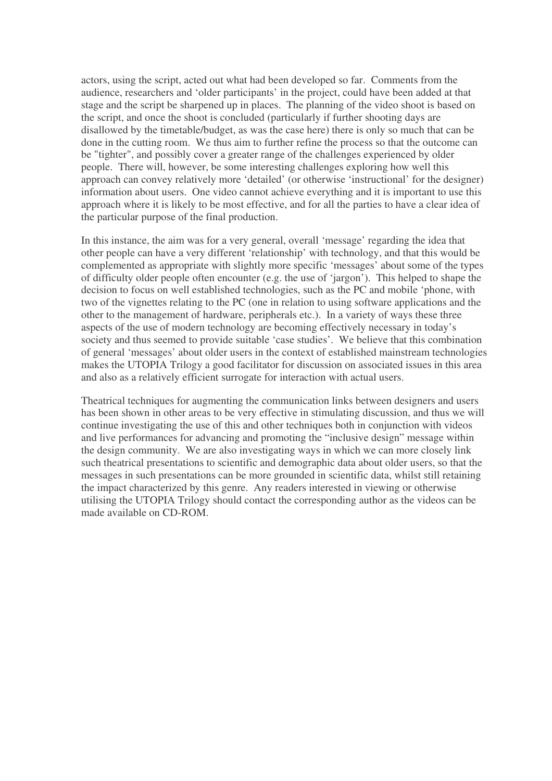actors, using the script, acted out what had been developed so far. Comments from the audience, researchers and 'older participants' in the project, could have been added at that stage and the script be sharpened up in places. The planning of the video shoot is based on the script, and once the shoot is concluded (particularly if further shooting days are disallowed by the timetable/budget, as was the case here) there is only so much that can be done in the cutting room. We thus aim to further refine the process so that the outcome can be "tighter", and possibly cover a greater range of the challenges experienced by older people. There will, however, be some interesting challenges exploring how well this approach can convey relatively more 'detailed' (or otherwise 'instructional' for the designer) information about users. One video cannot achieve everything and it is important to use this approach where it is likely to be most effective, and for all the parties to have a clear idea of the particular purpose of the final production.

In this instance, the aim was for a very general, overall 'message' regarding the idea that other people can have a very different 'relationship' with technology, and that this would be complemented as appropriate with slightly more specific 'messages' about some of the types of difficulty older people often encounter (e.g. the use of 'jargon'). This helped to shape the decision to focus on well established technologies, such as the PC and mobile 'phone, with two of the vignettes relating to the PC (one in relation to using software applications and the other to the management of hardware, peripherals etc.). In a variety of ways these three aspects of the use of modern technology are becoming effectively necessary in today's society and thus seemed to provide suitable 'case studies'. We believe that this combination of general 'messages' about older users in the context of established mainstream technologies makes the UTOPIA Trilogy a good facilitator for discussion on associated issues in this area and also as a relatively efficient surrogate for interaction with actual users.

Theatrical techniques for augmenting the communication links between designers and users has been shown in other areas to be very effective in stimulating discussion, and thus we will continue investigating the use of this and other techniques both in conjunction with videos and live performances for advancing and promoting the "inclusive design" message within the design community. We are also investigating ways in which we can more closely link such theatrical presentations to scientific and demographic data about older users, so that the messages in such presentations can be more grounded in scientific data, whilst still retaining the impact characterized by this genre. Any readers interested in viewing or otherwise utilising the UTOPIA Trilogy should contact the corresponding author as the videos can be made available on CD-ROM.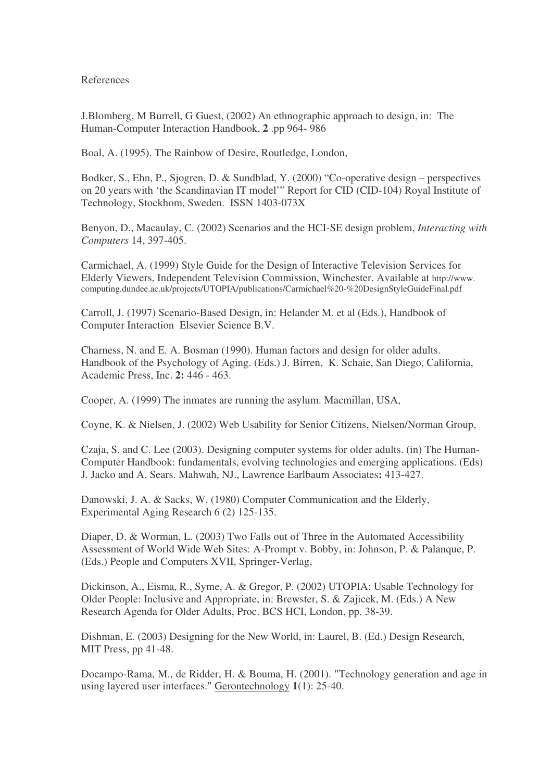#### References

J.Blomberg, M Burrell, G Guest, (2002) An ethnographic approach to design, in: The Human-Computer Interaction Handbook, **2** .pp 964- 986

Boal, A. (1995). The Rainbow of Desire, Routledge, London,

Bodker, S., Ehn, P., Sjogren, D. & Sundblad, Y. (2000) "Co-operative design – perspectives on 20 years with 'the Scandinavian IT model'" Report for CID (CID-104) Royal Institute of Technology, Stockhom, Sweden. ISSN 1403-073X

Benyon, D., Macaulay, C. (2002) Scenarios and the HCI-SE design problem, *Interacting with Computers* 14, 397-405.

Carmichael, A. (1999) Style Guide for the Design of Interactive Television Services for Elderly Viewers, Independent Television Commission, Winchester. Available at http://www. computing.dundee.ac.uk/projects/UTOPIA/publications/Carmichael%20-%20DesignStyleGuideFinal.pdf

Carroll, J. (1997) Scenario-Based Design, in: Helander M. et al (Eds.), Handbook of Computer Interaction Elsevier Science B.V.

Charness, N. and E. A. Bosman (1990). Human factors and design for older adults. Handbook of the Psychology of Aging. (Eds.) J. Birren, K. Schaie, San Diego, California, Academic Press, Inc. **2:** 446 - 463.

Cooper, A. (1999) The inmates are running the asylum. Macmillan, USA,

Coyne, K. & Nielsen, J. (2002) Web Usability for Senior Citizens, Nielsen/Norman Group,

Czaja, S. and C. Lee (2003). Designing computer systems for older adults. (in) The Human-Computer Handbook: fundamentals, evolving technologies and emerging applications. (Eds) J. Jacko and A. Sears. Mahwah, NJ., Lawrence Earlbaum Associates**:** 413-427.

Danowski, J. A. & Sacks, W. (1980) Computer Communication and the Elderly, Experimental Aging Research 6 (2) 125-135.

Diaper, D. & Worman, L. (2003) Two Falls out of Three in the Automated Accessibility Assessment of World Wide Web Sites: A-Prompt v. Bobby, in: Johnson, P. & Palanque, P. (Eds.) People and Computers XVII, Springer-Verlag,

Dickinson, A., Eisma, R., Syme, A. & Gregor, P. (2002) UTOPIA: Usable Technology for Older People: Inclusive and Appropriate, in: Brewster, S. & Zajicek, M. (Eds.) A New Research Agenda for Older Adults, Proc. BCS HCI, London, pp. 38-39.

Dishman, E. (2003) Designing for the New World, in: Laurel, B. (Ed.) Design Research, MIT Press, pp 41-48.

Docampo-Rama, M., de Ridder, H. & Bouma, H. (2001). "Technology generation and age in using layered user interfaces." Gerontechnology **1**(1): 25-40.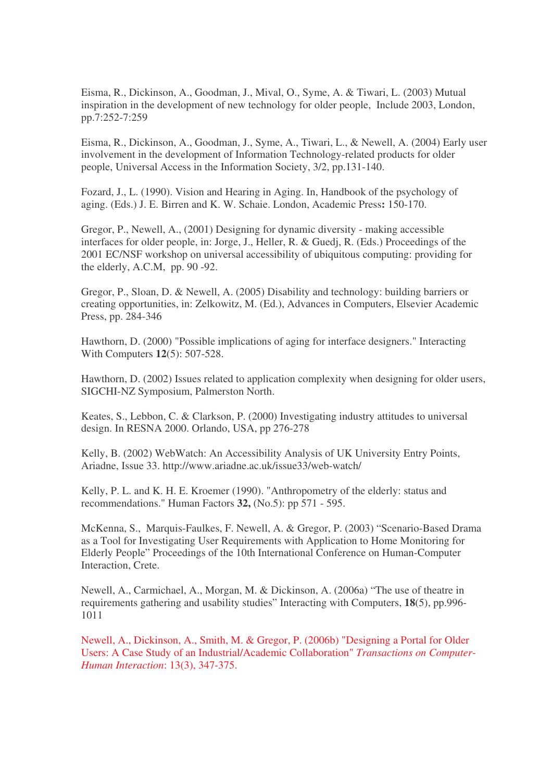Eisma, R., Dickinson, A., Goodman, J., Mival, O., Syme, A. & Tiwari, L. (2003) Mutual inspiration in the development of new technology for older people, Include 2003, London, pp.7:252-7:259

Eisma, R., Dickinson, A., Goodman, J., Syme, A., Tiwari, L., & Newell, A. (2004) Early user involvement in the development of Information Technology-related products for older people, Universal Access in the Information Society, 3/2, pp.131-140.

Fozard, J., L. (1990). Vision and Hearing in Aging. In, Handbook of the psychology of aging. (Eds.) J. E. Birren and K. W. Schaie. London, Academic Press**:** 150-170.

Gregor, P., Newell, A., (2001) Designing for dynamic diversity - making accessible interfaces for older people, in: Jorge, J., Heller, R. & Guedj, R. (Eds.) Proceedings of the 2001 EC/NSF workshop on universal accessibility of ubiquitous computing: providing for the elderly, A.C.M, pp. 90 -92.

Gregor, P., Sloan, D. & Newell, A. (2005) Disability and technology: building barriers or creating opportunities, in: Zelkowitz, M. (Ed.), Advances in Computers, Elsevier Academic Press, pp. 284-346

Hawthorn, D. (2000) "Possible implications of aging for interface designers." Interacting With Computers **12**(5): 507-528.

Hawthorn, D. (2002) Issues related to application complexity when designing for older users, SIGCHI-NZ Symposium, Palmerston North.

Keates, S., Lebbon, C. & Clarkson, P. (2000) Investigating industry attitudes to universal design. In RESNA 2000. Orlando, USA, pp 276-278

Kelly, B. (2002) WebWatch: An Accessibility Analysis of UK University Entry Points, Ariadne, Issue 33. http://www.ariadne.ac.uk/issue33/web-watch/

Kelly, P. L. and K. H. E. Kroemer (1990). "Anthropometry of the elderly: status and recommendations." Human Factors **32,** (No.5): pp 571 - 595.

McKenna, S., Marquis-Faulkes, F. Newell, A. & Gregor, P. (2003) "Scenario-Based Drama as a Tool for Investigating User Requirements with Application to Home Monitoring for Elderly People" Proceedings of the 10th International Conference on Human-Computer Interaction, Crete.

Newell, A., Carmichael, A., Morgan, M. & Dickinson, A. (2006a) "The use of theatre in requirements gathering and usability studies" Interacting with Computers, **18**(5), pp.996- 1011

Newell, A., Dickinson, A., Smith, M. & Gregor, P. (2006b) "Designing a Portal for Older Users: A Case Study of an Industrial/Academic Collaboration" *Transactions on Computer-Human Interaction*: 13(3), 347-375.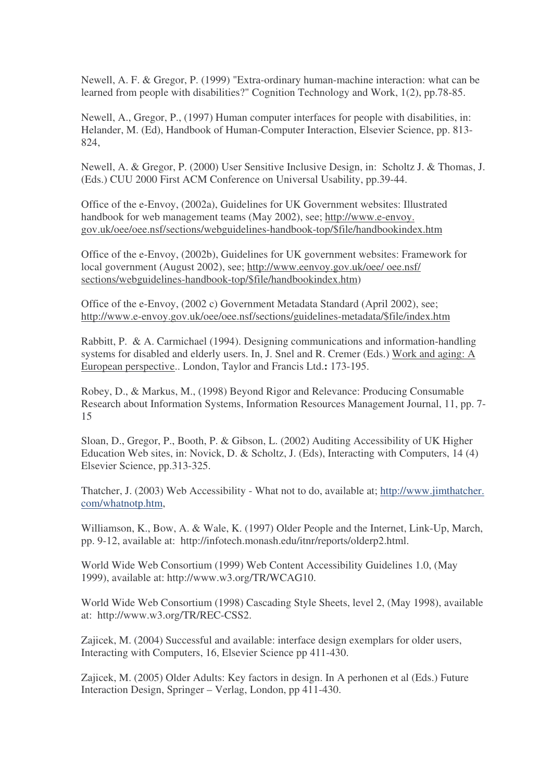Newell, A. F. & Gregor, P. (1999) "Extra-ordinary human-machine interaction: what can be learned from people with disabilities?" Cognition Technology and Work, 1(2), pp.78-85.

Newell, A., Gregor, P., (1997) Human computer interfaces for people with disabilities, in: Helander, M. (Ed), Handbook of Human-Computer Interaction, Elsevier Science, pp. 813- 824,

Newell, A. & Gregor, P. (2000) User Sensitive Inclusive Design, in: Scholtz J. & Thomas, J. (Eds.) CUU 2000 First ACM Conference on Universal Usability, pp.39-44.

Office of the e-Envoy, (2002a), Guidelines for UK Government websites: Illustrated handbook for web management teams (May 2002), see; http://www.e-envoy. gov.uk/oee/oee.nsf/sections/webguidelines-handbook-top/\$file/handbookindex.htm

Office of the e-Envoy, (2002b), Guidelines for UK government websites: Framework for local government (August 2002), see; http://www.eenvoy.gov.uk/oee/ oee.nsf/ sections/webguidelines-handbook-top/\$file/handbookindex.htm)

Office of the e-Envoy, (2002 c) Government Metadata Standard (April 2002), see; http://www.e-envoy.gov.uk/oee/oee.nsf/sections/guidelines-metadata/\$file/index.htm

Rabbitt, P. & A. Carmichael (1994). Designing communications and information-handling systems for disabled and elderly users. In, J. Snel and R. Cremer (Eds.) Work and aging: A European perspective.. London, Taylor and Francis Ltd.**:** 173-195.

Robey, D., & Markus, M., (1998) Beyond Rigor and Relevance: Producing Consumable Research about Information Systems, Information Resources Management Journal, 11, pp. 7- 15

Sloan, D., Gregor, P., Booth, P. & Gibson, L. (2002) Auditing Accessibility of UK Higher Education Web sites, in: Novick, D. & Scholtz, J. (Eds), Interacting with Computers, 14 (4) Elsevier Science, pp.313-325.

Thatcher, J. (2003) Web Accessibility - What not to do, available at; http://www.jimthatcher. com/whatnotp.htm,

Williamson, K., Bow, A. & Wale, K. (1997) Older People and the Internet, Link-Up, March, pp. 9-12, available at: http://infotech.monash.edu/itnr/reports/olderp2.html.

World Wide Web Consortium (1999) Web Content Accessibility Guidelines 1.0, (May 1999), available at: http://www.w3.org/TR/WCAG10.

World Wide Web Consortium (1998) Cascading Style Sheets, level 2, (May 1998), available at: http://www.w3.org/TR/REC-CSS2.

Zajicek, M. (2004) Successful and available: interface design exemplars for older users, Interacting with Computers, 16, Elsevier Science pp 411-430.

Zajicek, M. (2005) Older Adults: Key factors in design. In A perhonen et al (Eds.) Future Interaction Design, Springer – Verlag, London, pp 411-430.